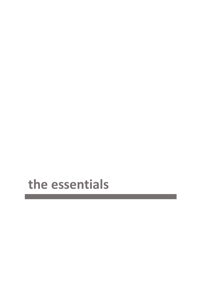# the essentials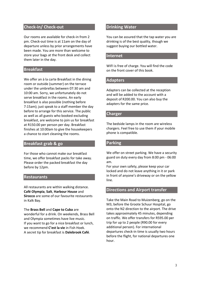# **Check-in/ Check-out**

Our rooms are available for check-in from 2 pm. Check-out time is at 11am on the day of departure unless by prior arrangements have been made. You are more than welcome to store your bags at the front desk and collect them later in the day.

# **Breakfast**

We offer an à la carte Breakfast in the dining room or outside (summer) on the terrace under the umbrellas between 07:30 am and 10:00 am. Sorry, we unfortunately do not serve breakfast in the rooms. An early breakfast is also possible (nothing before 7:15am); just speak to a staff member the day before to arrange for this service. The public as well as all guests who booked excluding breakfast, are welcome to join us for breakfast at R150.00 per person per day. Breakfast finishes at 10:00am to give the housekeepers a chance to start cleaning the rooms.

# **Breakfast grab & go**

For those who cannot make our breakfast time, we offer breakfast packs for take away. Please order the packed breakfast the day before by 12pm.

# **Restaurants**

All restaurants are within walking distance. **Café Olympia**, **Salt**, **Harbour House** and **Sirocco** are some of our favourite restaurants in Kalk Bay.

The **Brass Bell** and **Cape to Cuba** are wonderful for a drink. On weekends, Brass Bell and Olympia sometimes have live music. If you want to go for a nice breakfast or lunch, we recommend **C'est la vie** in Fish Hoek. A secret tip for breakfast is **Dalebrook Café**.

# **Drinking Water**

You can be assured that the tap water you are drinking is of the best quality, though we suggest buying our bottled water.

#### **Internet**

WIFI is free of charge. You will find the code on the front cover of this book.

# **Adapters**

Adapters can be collected at the reception and will be added to the account with a deposit of R200.00. You can also buy the adapters for the same price.

# **Charger**

The bedside lamps in the room are wireless chargers. Feel free to use them if your mobile phone is compatible.

# **Parking**

We offer on street parking. We have a security guard on duty every day from 8:00 pm - 06:00 am.

For your own safety, please keep your car locked and do not leave anything in it or park in front of anyone's driveway or on the yellow line.

# **Directions and Airport transfer**

Take the Main Road to Muizenberg, go on the M3, before the Groote Schuur Hospital, go onto the N2 direction to the airport. The drive takes approximately 45 minutes, depending on traffic. We offer transfers for R595.00 per trip for up to 2 people (R90.00 for every additional person). For international departures check-in time is usually two hours before the flight, for national departures one hour.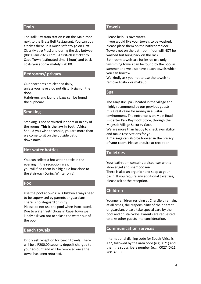# **Train**

The Kalk Bay train station is on the Main road next to the Brass Bell Restaurant. You can buy a ticket there. It is much safer to go on First Class (Metro Plus) and during the day between (08:00 am -16:30 pm). A first-class ticket to Cape Town (estimated time 1 hour) and back costs you approximately R20.00.

# **Bedrooms/ privacy**

Our bedrooms are cleaned daily,

unless you have a do not disturb sign on the door.

Hairdryers and laundry bags can be found in the cupboard.

#### **Smoking**

Smoking is not permitted indoors or in any of the rooms. **This is the law in South Africa.** Should you wish to smoke, you are more than welcome to sit on the outside patio downstairs.

# **Hot water bottles**

You can collect a hot water bottle in the evening in the reception area, you will find them in a big blue box close to the stairway (During Winter only).

#### **Pool**

Use the pool at own risk. Children always need to be supervised by parents or guardians. There is no lifeguard on duty.

Please do not use the pool when intoxicated. Due to water restrictions in Cape Town we kindly ask you not to splash the water out of the pool.

#### **Beach towels**

Kindly ask reception for beach towels. There will be a R200.00 security deposit charged to your account and will be removed once the towel has been returned.

# **Towels**

Please help us save water.

If you would like your towels to be washed, please place them on the bathroom floor. Towels not on the bathroom floor will NOT be washed but hung back on the rack. Bathroom towels are for inside use only. Swimming towels can be found by the pool in summer and we also have beach towels which you can borrow.

We kindly ask you not to use the towels to remove lipstick or makeup.

#### **Spa**

The Majestic Spa - located in the village and highly recommend by our previous guests. It is a real value for money in a 5-star environment. The entrance is on Main Road just after Kalk Bay Book Store, through the Majestic Village Security Gate. We are more than happy to check availability and make reservations for you. A massage can also be booked in the privacy of your room. Please enquire at reception.

#### **Toiletries**

Your bathroom contains a dispenser with a shower gel and shampoo mix. There is also an organic hand soap at your basin. If you require any additional toiletries, please ask at the reception.

#### **Children**

Younger children residing at Chartfield remain, at all times, the responsibility of their parent or guardian, please take special care by the pool and on stairways. Parents are requested to take other guests into consideration.

#### **Communication services**

International dialling code for South Africa is +27, followed by the area code (e.g.: 021) and then the subscribers number (e.g.: 0027 (0)21 788 3793).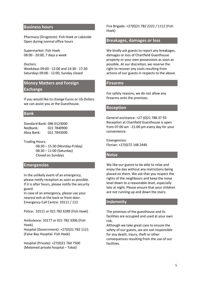## **Business hours**

Pharmacy (Drugstore): Fish Hoek or Lakeside Open during normal office hours

Supermarket: Fish Hoek 08:00 - 20:00, 7 days a week

Doctors: Weekdays 09:00 - 12:00 and 14:30 - 17:30 Saturdays 09:00 - 12:00, Sunday closed

# **Money Matters and Foreign Exchange**

If you would like to change Euros or US-Dollars we can assist you at the Guesthouse.

#### **Bank**

| Standard Bank: 086 0123000 |             |
|----------------------------|-------------|
| Nedbank:                   | 021 7840900 |
| Absa Bank:                 | 021 7843000 |

Trading Hours:

08:30 – 15:30 (Monday-Friday) 08:30 – 11:00 (Saturday) Closed on Sundays

# **Emergencies**

In the unlikely event of an emergency, please notify reception as soon as possible. If it is after hours, please notify the security guard.

In case of an emergency, please use your nearest exit at the back or front door. Emergency Call Centre: 10111 / 112

Police: 10111 or 021 782 6289 (Fish Hoek)

Ambulance: 10177 or 021 782 3306 (Fish Hoek)

Hospital (Government): +27(0)21 782 1121 (False Bay Hospital- Fish Hoek)

Hospital (Private): +27(0)21 764 7500 (Melomed private hospital – Tokai)

Fire Brigade: +27(0)21 782 2222 / 1112 (Fish Hoek)

#### **Breakages, damages or loss**

We kindly ask guests to report any breakages, damages or loss of Chartfield Guesthouse property or your own possessions as soon as possible. At our discretion, we reserve the right to recover any costs resulting from actions of our guests in respects to the above.

#### **Firearms**

For safety reasons, we do not allow any firearms onto the premises.

# **Reception**

General assistance: +27 (0)21 788 37 93 Reception at Chartfield Guesthouse is open from 07:00 am - 21:00 pm every day for your convenience.

Emergencies: Florian: +27(0)72 148 2440

# **Noise**

We like our guests to be able to relax and enjoy the day without any restrictions being placed on them. We ask that you respect the rights of the neighbours and keep the noise level down to a reasonable level, especially late at night. Please ensure that your children are not running up and down the stairs.

#### **Indemnity**

The premises of the guesthouse and its facilities are occupied and used at your own risk.

Although we take great care to ensure the safety of our guests, we are not responsible for any death, injury, theft or other consequences resulting from the use of our facilities.